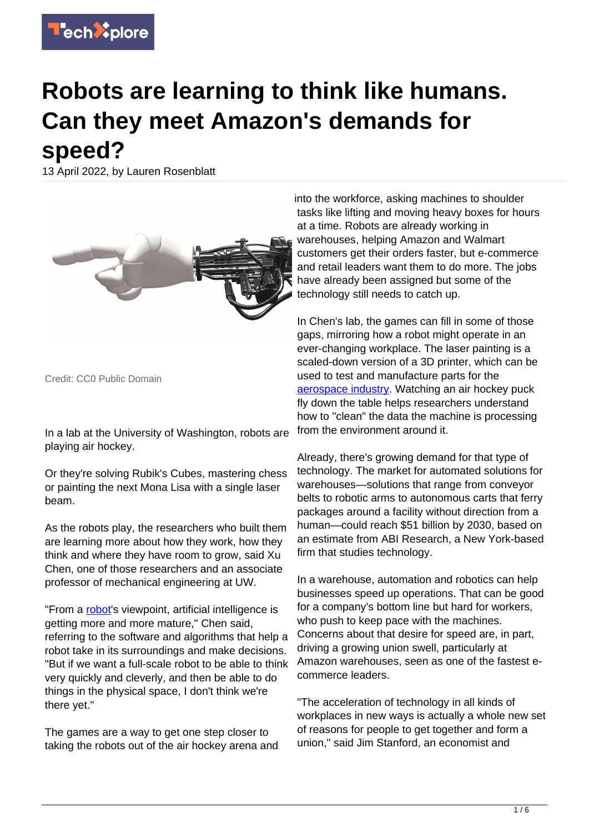

# **Robots are learning to think like humans. Can they meet Amazon's demands for speed?**

13 April 2022, by Lauren Rosenblatt



Credit: CC0 Public Domain

In a lab at the University of Washington, robots are playing air hockey.

Or they're solving Rubik's Cubes, mastering chess or painting the next Mona Lisa with a single laser beam.

As the robots play, the researchers who built them are learning more about how they work, how they think and where they have room to grow, said Xu Chen, one of those researchers and an associate professor of mechanical engineering at UW.

"From a [robot](https://techxplore.com/tags/robot/)'s viewpoint, artificial intelligence is getting more and more mature," Chen said, referring to the software and algorithms that help a robot take in its surroundings and make decisions. "But if we want a full-scale robot to be able to think very quickly and cleverly, and then be able to do things in the physical space, I don't think we're there yet."

The games are a way to get one step closer to taking the robots out of the air hockey arena and into the workforce, asking machines to shoulder tasks like lifting and moving heavy boxes for hours at a time. Robots are already working in warehouses, helping Amazon and Walmart customers get their orders faster, but e-commerce and retail leaders want them to do more. The jobs have already been assigned but some of the technology still needs to catch up.

In Chen's lab, the games can fill in some of those gaps, mirroring how a robot might operate in an ever-changing workplace. The laser painting is a scaled-down version of a 3D printer, which can be used to test and manufacture parts for the [aerospace industry](https://techxplore.com/tags/aerospace+industry/). Watching an air hockey puck fly down the table helps researchers understand how to "clean" the data the machine is processing from the environment around it.

Already, there's growing demand for that type of technology. The market for automated solutions for warehouses—solutions that range from conveyor belts to robotic arms to autonomous carts that ferry packages around a facility without direction from a human—could reach \$51 billion by 2030, based on an estimate from ABI Research, a New York-based firm that studies technology.

In a warehouse, automation and robotics can help businesses speed up operations. That can be good for a company's bottom line but hard for workers, who push to keep pace with the machines. Concerns about that desire for speed are, in part, driving a growing union swell, particularly at Amazon warehouses, seen as one of the fastest ecommerce leaders.

"The acceleration of technology in all kinds of workplaces in new ways is actually a whole new set of reasons for people to get together and form a union," said Jim Stanford, an economist and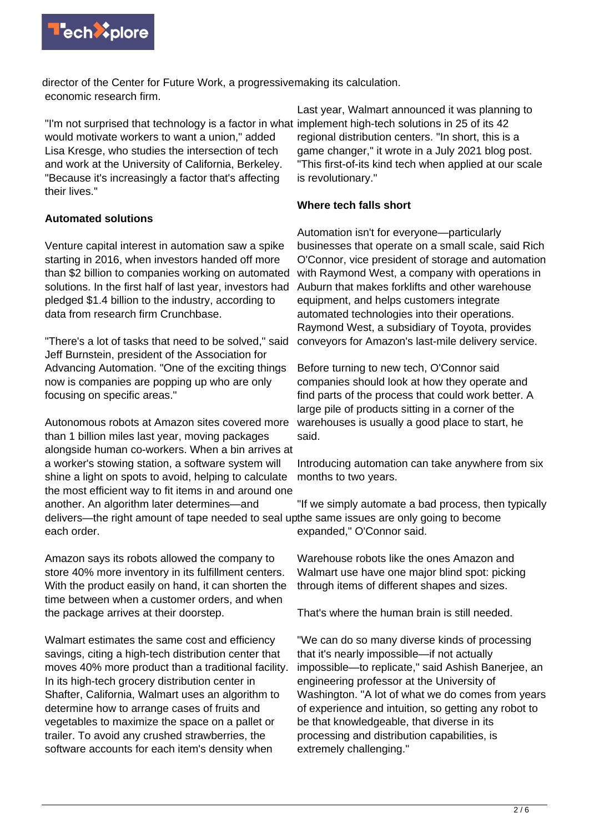

director of the Center for Future Work, a progressive making its calculation. economic research firm.

"I'm not surprised that technology is a factor in what would motivate workers to want a union," added Lisa Kresge, who studies the intersection of tech and work at the University of California, Berkeley. "Because it's increasingly a factor that's affecting their lives."

# **Automated solutions**

Venture capital interest in automation saw a spike starting in 2016, when investors handed off more than \$2 billion to companies working on automated solutions. In the first half of last year, investors had pledged \$1.4 billion to the industry, according to data from research firm Crunchbase.

"There's a lot of tasks that need to be solved," said Jeff Burnstein, president of the Association for Advancing Automation. "One of the exciting things now is companies are popping up who are only focusing on specific areas."

Autonomous robots at Amazon sites covered more than 1 billion miles last year, moving packages alongside human co-workers. When a bin arrives at a worker's stowing station, a software system will shine a light on spots to avoid, helping to calculate the most efficient way to fit items in and around one another. An algorithm later determines—and delivers—the right amount of tape needed to seal upthe same issues are only going to become each order.

Amazon says its robots allowed the company to store 40% more inventory in its fulfillment centers. With the product easily on hand, it can shorten the time between when a customer orders, and when the package arrives at their doorstep.

Walmart estimates the same cost and efficiency savings, citing a high-tech distribution center that moves 40% more product than a traditional facility. In its high-tech grocery distribution center in Shafter, California, Walmart uses an algorithm to determine how to arrange cases of fruits and vegetables to maximize the space on a pallet or trailer. To avoid any crushed strawberries, the software accounts for each item's density when

Last year, Walmart announced it was planning to implement high-tech solutions in 25 of its 42 regional distribution centers. "In short, this is a game changer," it wrote in a July 2021 blog post. "This first-of-its kind tech when applied at our scale is revolutionary."

# **Where tech falls short**

Automation isn't for everyone—particularly businesses that operate on a small scale, said Rich O'Connor, vice president of storage and automation with Raymond West, a company with operations in Auburn that makes forklifts and other warehouse equipment, and helps customers integrate automated technologies into their operations. Raymond West, a subsidiary of Toyota, provides conveyors for Amazon's last-mile delivery service.

Before turning to new tech, O'Connor said companies should look at how they operate and find parts of the process that could work better. A large pile of products sitting in a corner of the warehouses is usually a good place to start, he said.

Introducing automation can take anywhere from six months to two years.

"If we simply automate a bad process, then typically expanded," O'Connor said.

Warehouse robots like the ones Amazon and Walmart use have one major blind spot: picking through items of different shapes and sizes.

That's where the human brain is still needed.

"We can do so many diverse kinds of processing that it's nearly impossible—if not actually impossible—to replicate," said Ashish Banerjee, an engineering professor at the University of Washington. "A lot of what we do comes from years of experience and intuition, so getting any robot to be that knowledgeable, that diverse in its processing and distribution capabilities, is extremely challenging."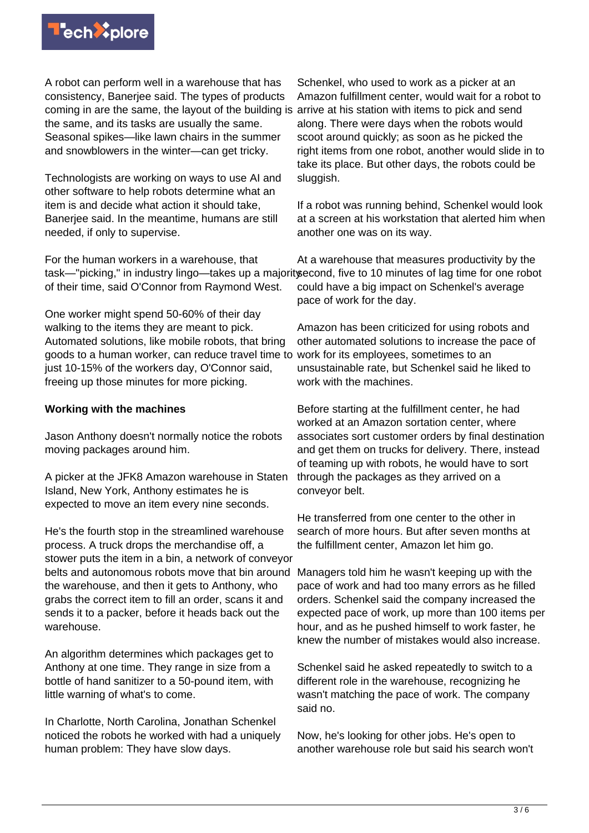

A robot can perform well in a warehouse that has consistency, Banerjee said. The types of products coming in are the same, the layout of the building is arrive at his station with items to pick and send the same, and its tasks are usually the same. Seasonal spikes—like lawn chairs in the summer and snowblowers in the winter—can get tricky.

Technologists are working on ways to use AI and other software to help robots determine what an item is and decide what action it should take, Banerjee said. In the meantime, humans are still needed, if only to supervise.

For the human workers in a warehouse, that of their time, said O'Connor from Raymond West.

One worker might spend 50-60% of their day walking to the items they are meant to pick. Automated solutions, like mobile robots, that bring goods to a human worker, can reduce travel time to work for its employees, sometimes to an just 10-15% of the workers day, O'Connor said, freeing up those minutes for more picking.

### **Working with the machines**

Jason Anthony doesn't normally notice the robots moving packages around him.

A picker at the JFK8 Amazon warehouse in Staten Island, New York, Anthony estimates he is expected to move an item every nine seconds.

He's the fourth stop in the streamlined warehouse process. A truck drops the merchandise off, a stower puts the item in a bin, a network of conveyor belts and autonomous robots move that bin around the warehouse, and then it gets to Anthony, who grabs the correct item to fill an order, scans it and sends it to a packer, before it heads back out the warehouse.

An algorithm determines which packages get to Anthony at one time. They range in size from a bottle of hand sanitizer to a 50-pound item, with little warning of what's to come.

In Charlotte, North Carolina, Jonathan Schenkel noticed the robots he worked with had a uniquely human problem: They have slow days.

Schenkel, who used to work as a picker at an Amazon fulfillment center, would wait for a robot to along. There were days when the robots would scoot around quickly; as soon as he picked the right items from one robot, another would slide in to take its place. But other days, the robots could be sluggish.

If a robot was running behind, Schenkel would look at a screen at his workstation that alerted him when another one was on its way.

task—"picking," in industry lingo—takes up a majorityecond, five to 10 minutes of lag time for one robot At a warehouse that measures productivity by the could have a big impact on Schenkel's average pace of work for the day.

> Amazon has been criticized for using robots and other automated solutions to increase the pace of unsustainable rate, but Schenkel said he liked to work with the machines.

Before starting at the fulfillment center, he had worked at an Amazon sortation center, where associates sort customer orders by final destination and get them on trucks for delivery. There, instead of teaming up with robots, he would have to sort through the packages as they arrived on a conveyor belt.

He transferred from one center to the other in search of more hours. But after seven months at the fulfillment center, Amazon let him go.

Managers told him he wasn't keeping up with the pace of work and had too many errors as he filled orders. Schenkel said the company increased the expected pace of work, up more than 100 items per hour, and as he pushed himself to work faster, he knew the number of mistakes would also increase.

Schenkel said he asked repeatedly to switch to a different role in the warehouse, recognizing he wasn't matching the pace of work. The company said no.

Now, he's looking for other jobs. He's open to another warehouse role but said his search won't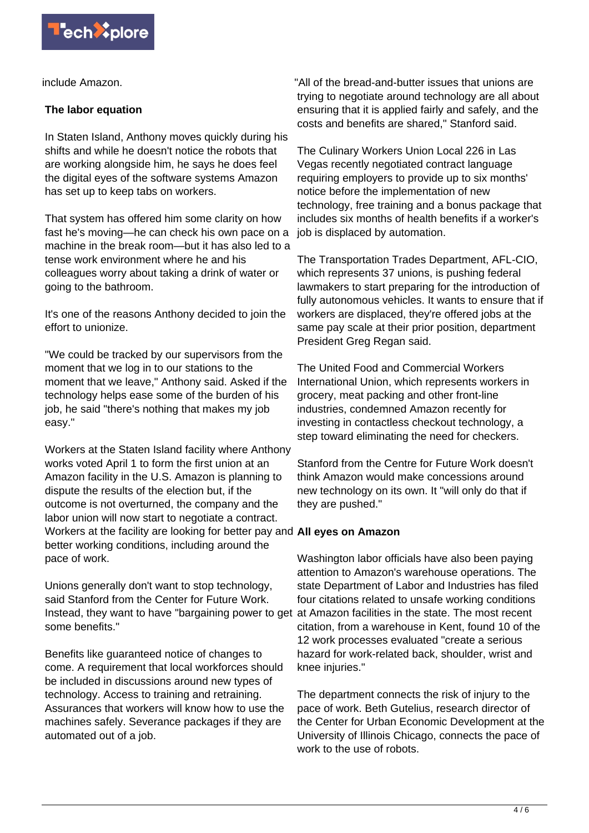

include Amazon.

# **The labor equation**

In Staten Island, Anthony moves quickly during his shifts and while he doesn't notice the robots that are working alongside him, he says he does feel the digital eyes of the software systems Amazon has set up to keep tabs on workers.

That system has offered him some clarity on how fast he's moving—he can check his own pace on a machine in the break room—but it has also led to a tense work environment where he and his colleagues worry about taking a drink of water or going to the bathroom.

It's one of the reasons Anthony decided to join the effort to unionize.

"We could be tracked by our supervisors from the moment that we log in to our stations to the moment that we leave," Anthony said. Asked if the technology helps ease some of the burden of his job, he said "there's nothing that makes my job easy."

Workers at the Staten Island facility where Anthony works voted April 1 to form the first union at an Amazon facility in the U.S. Amazon is planning to dispute the results of the election but, if the outcome is not overturned, the company and the labor union will now start to negotiate a contract. Workers at the facility are looking for better pay and **All eyes on Amazon** better working conditions, including around the pace of work.

Unions generally don't want to stop technology, said Stanford from the Center for Future Work. Instead, they want to have "bargaining power to get at Amazon facilities in the state. The most recent some benefits."

Benefits like guaranteed notice of changes to come. A requirement that local workforces should be included in discussions around new types of technology. Access to training and retraining. Assurances that workers will know how to use the machines safely. Severance packages if they are automated out of a job.

"All of the bread-and-butter issues that unions are trying to negotiate around technology are all about ensuring that it is applied fairly and safely, and the costs and benefits are shared," Stanford said.

The Culinary Workers Union Local 226 in Las Vegas recently negotiated contract language requiring employers to provide up to six months' notice before the implementation of new technology, free training and a bonus package that includes six months of health benefits if a worker's job is displaced by automation.

The Transportation Trades Department, AFL-CIO, which represents 37 unions, is pushing federal lawmakers to start preparing for the introduction of fully autonomous vehicles. It wants to ensure that if workers are displaced, they're offered jobs at the same pay scale at their prior position, department President Greg Regan said.

The United Food and Commercial Workers International Union, which represents workers in grocery, meat packing and other front-line industries, condemned Amazon recently for investing in contactless checkout technology, a step toward eliminating the need for checkers.

Stanford from the Centre for Future Work doesn't think Amazon would make concessions around new technology on its own. It "will only do that if they are pushed."

Washington labor officials have also been paying attention to Amazon's warehouse operations. The state Department of Labor and Industries has filed four citations related to unsafe working conditions citation, from a warehouse in Kent, found 10 of the 12 work processes evaluated "create a serious hazard for work-related back, shoulder, wrist and knee injuries."

The department connects the risk of injury to the pace of work. Beth Gutelius, research director of the Center for Urban Economic Development at the University of Illinois Chicago, connects the pace of work to the use of robots.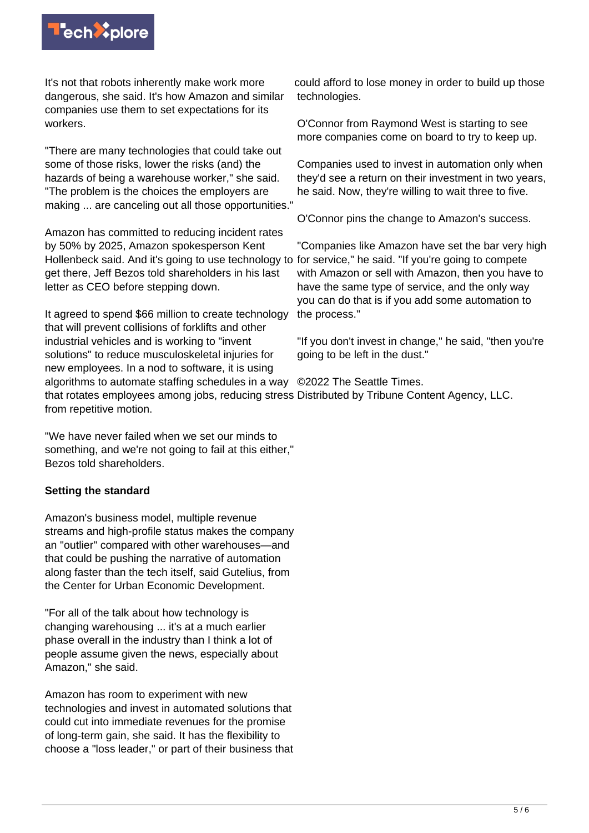

It's not that robots inherently make work more dangerous, she said. It's how Amazon and similar companies use them to set expectations for its workers.

"There are many technologies that could take out some of those risks, lower the risks (and) the hazards of being a warehouse worker," she said. "The problem is the choices the employers are making ... are canceling out all those opportunities."

Amazon has committed to reducing incident rates by 50% by 2025, Amazon spokesperson Kent Hollenbeck said. And it's going to use technology to for service," he said. "If you're going to compete get there, Jeff Bezos told shareholders in his last letter as CEO before stepping down.

It agreed to spend \$66 million to create technology that will prevent collisions of forklifts and other industrial vehicles and is working to "invent solutions" to reduce musculoskeletal injuries for new employees. In a nod to software, it is using algorithms to automate staffing schedules in a way ©2022 The Seattle Times. that rotates employees among jobs, reducing stress Distributed by Tribune Content Agency, LLC. from repetitive motion.

"We have never failed when we set our minds to something, and we're not going to fail at this either," Bezos told shareholders.

## **Setting the standard**

Amazon's business model, multiple revenue streams and high-profile status makes the company an "outlier" compared with other warehouses—and that could be pushing the narrative of automation along faster than the tech itself, said Gutelius, from the Center for Urban Economic Development.

"For all of the talk about how technology is changing warehousing ... it's at a much earlier phase overall in the industry than I think a lot of people assume given the news, especially about Amazon," she said.

Amazon has room to experiment with new technologies and invest in automated solutions that could cut into immediate revenues for the promise of long-term gain, she said. It has the flexibility to choose a "loss leader," or part of their business that

could afford to lose money in order to build up those technologies.

O'Connor from Raymond West is starting to see more companies come on board to try to keep up.

Companies used to invest in automation only when they'd see a return on their investment in two years, he said. Now, they're willing to wait three to five.

O'Connor pins the change to Amazon's success.

"Companies like Amazon have set the bar very high with Amazon or sell with Amazon, then you have to have the same type of service, and the only way you can do that is if you add some automation to the process."

"If you don't invest in change," he said, "then you're going to be left in the dust."